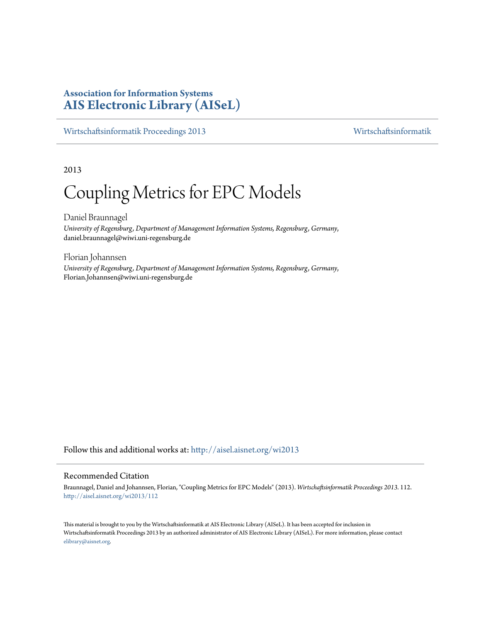# **Association for Information Systems [AIS Electronic Library \(AISeL\)](http://aisel.aisnet.org?utm_source=aisel.aisnet.org%2Fwi2013%2F112&utm_medium=PDF&utm_campaign=PDFCoverPages)**

[Wirtschaftsinformatik Proceedings 2013](http://aisel.aisnet.org/wi2013?utm_source=aisel.aisnet.org%2Fwi2013%2F112&utm_medium=PDF&utm_campaign=PDFCoverPages) [Wirtschaftsinformatik](http://aisel.aisnet.org/wi?utm_source=aisel.aisnet.org%2Fwi2013%2F112&utm_medium=PDF&utm_campaign=PDFCoverPages)

2013

# Coupling Metrics for EPC Models

Daniel Braunnagel *University of Regensburg, Department of Management Information Systems, Regensburg, Germany*, daniel.braunnagel@wiwi.uni-regensburg.de

Florian Johannsen *University of Regensburg, Department of Management Information Systems, Regensburg, Germany*, Florian.Johannsen@wiwi.uni-regensburg.de

Follow this and additional works at: [http://aisel.aisnet.org/wi2013](http://aisel.aisnet.org/wi2013?utm_source=aisel.aisnet.org%2Fwi2013%2F112&utm_medium=PDF&utm_campaign=PDFCoverPages)

# Recommended Citation

Braunnagel, Daniel and Johannsen, Florian, "Coupling Metrics for EPC Models" (2013). *Wirtschaftsinformatik Proceedings 2013*. 112. [http://aisel.aisnet.org/wi2013/112](http://aisel.aisnet.org/wi2013/112?utm_source=aisel.aisnet.org%2Fwi2013%2F112&utm_medium=PDF&utm_campaign=PDFCoverPages)

This material is brought to you by the Wirtschaftsinformatik at AIS Electronic Library (AISeL). It has been accepted for inclusion in Wirtschaftsinformatik Proceedings 2013 by an authorized administrator of AIS Electronic Library (AISeL). For more information, please contact [elibrary@aisnet.org.](mailto:elibrary@aisnet.org%3E)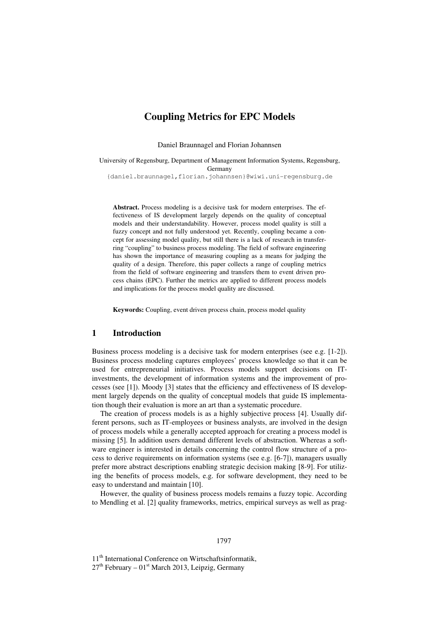# **Coupling Metrics for EPC Models**

Daniel Braunnagel and Florian Johannsen

University of Regensburg, Department of Management Information Systems, Regensburg, Germany {daniel.braunnagel,florian.johannsen}@wiwi.uni-regensburg.de

**Abstract.** Process modeling is a decisive task for modern enterprises. The effectiveness of IS development largely depends on the quality of conceptual models and their understandability. However, process model quality is still a fuzzy concept and not fully understood yet. Recently, coupling became a concept for assessing model quality, but still there is a lack of research in transferring "coupling" to business process modeling. The field of software engineering has shown the importance of measuring coupling as a means for judging the quality of a design. Therefore, this paper collects a range of coupling metrics from the field of software engineering and transfers them to event driven process chains (EPC). Further the metrics are applied to different process models and implications for the process model quality are discussed.

**Keywords:** Coupling, event driven process chain, process model quality

### **1 Introduction**

Business process modeling is a decisive task for modern enterprises (see e.g. [1-2]). Business process modeling captures employees' process knowledge so that it can be used for entrepreneurial initiatives. Process models support decisions on ITinvestments, the development of information systems and the improvement of processes (see [1]). Moody [3] states that the efficiency and effectiveness of IS development largely depends on the quality of conceptual models that guide IS implementation though their evaluation is more an art than a systematic procedure.

The creation of process models is as a highly subjective process [4]. Usually different persons, such as IT-employees or business analysts, are involved in the design of process models while a generally accepted approach for creating a process model is missing [5]. In addition users demand different levels of abstraction. Whereas a software engineer is interested in details concerning the control flow structure of a process to derive requirements on information systems (see e.g. [6-7]), managers usually prefer more abstract descriptions enabling strategic decision making [8-9]. For utilizing the benefits of process models, e.g. for software development, they need to be easy to understand and maintain [10].

However, the quality of business process models remains a fuzzy topic. According to Mendling et al. [2] quality frameworks, metrics, empirical surveys as well as prag-

#### 1797

11<sup>th</sup> International Conference on Wirtschaftsinformatik,  $27<sup>th</sup>$  February –  $01<sup>st</sup>$  March 2013, Leipzig, Germany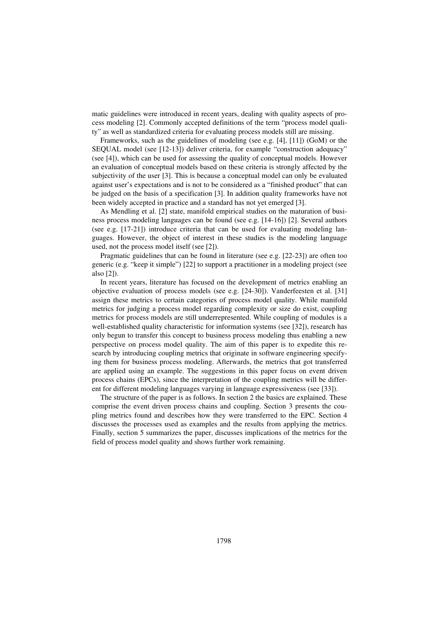matic guidelines were introduced in recent years, dealing with quality aspects of process modeling [2]. Commonly accepted definitions of the term "process model quality" as well as standardized criteria for evaluating process models still are missing.

Frameworks, such as the guidelines of modeling (see e.g. [4], [11]) (GoM) or the SEQUAL model (see [12-13]) deliver criteria, for example "construction adequacy" (see [4]), which can be used for assessing the quality of conceptual models. However an evaluation of conceptual models based on these criteria is strongly affected by the subjectivity of the user [3]. This is because a conceptual model can only be evaluated against user's expectations and is not to be considered as a "finished product" that can be judged on the basis of a specification [3]. In addition quality frameworks have not been widely accepted in practice and a standard has not yet emerged [3].

As Mendling et al. [2] state, manifold empirical studies on the maturation of business process modeling languages can be found (see e.g. [14-16]) [2]. Several authors (see e.g. [17-21]) introduce criteria that can be used for evaluating modeling languages. However, the object of interest in these studies is the modeling language used, not the process model itself (see [2]).

Pragmatic guidelines that can be found in literature (see e.g. [22-23]) are often too generic (e.g. "keep it simple") [22] to support a practitioner in a modeling project (see also [2]).

In recent years, literature has focused on the development of metrics enabling an objective evaluation of process models (see e.g. [24-30]). Vanderfeesten et al. [31] assign these metrics to certain categories of process model quality. While manifold metrics for judging a process model regarding complexity or size do exist, coupling metrics for process models are still underrepresented. While coupling of modules is a well-established quality characteristic for information systems (see [32]), research has only begun to transfer this concept to business process modeling thus enabling a new perspective on process model quality. The aim of this paper is to expedite this research by introducing coupling metrics that originate in software engineering specifying them for business process modeling. Afterwards, the metrics that got transferred are applied using an example. The suggestions in this paper focus on event driven process chains (EPCs), since the interpretation of the coupling metrics will be different for different modeling languages varying in language expressiveness (see [33]).

The structure of the paper is as follows. In section 2 the basics are explained. These comprise the event driven process chains and coupling. Section 3 presents the coupling metrics found and describes how they were transferred to the EPC. Section 4 discusses the processes used as examples and the results from applying the metrics. Finally, section 5 summarizes the paper, discusses implications of the metrics for the field of process model quality and shows further work remaining.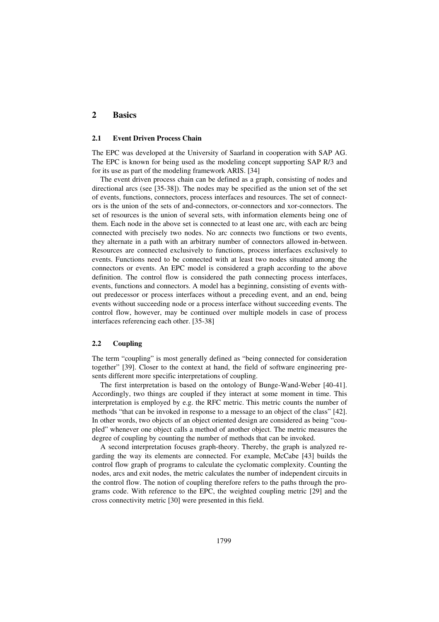# **2 Basics**

#### **2.1 Event Driven Process Chain**

The EPC was developed at the University of Saarland in cooperation with SAP AG. The EPC is known for being used as the modeling concept supporting SAP R/3 and for its use as part of the modeling framework ARIS. [34]

The event driven process chain can be defined as a graph, consisting of nodes and directional arcs (see [35-38]). The nodes may be specified as the union set of the set of events, functions, connectors, process interfaces and resources. The set of connectors is the union of the sets of and-connectors, or-connectors and xor-connectors. The set of resources is the union of several sets, with information elements being one of them. Each node in the above set is connected to at least one arc, with each arc being connected with precisely two nodes. No arc connects two functions or two events, they alternate in a path with an arbitrary number of connectors allowed in-between. Resources are connected exclusively to functions, process interfaces exclusively to events. Functions need to be connected with at least two nodes situated among the connectors or events. An EPC model is considered a graph according to the above definition. The control flow is considered the path connecting process interfaces, events, functions and connectors. A model has a beginning, consisting of events without predecessor or process interfaces without a preceding event, and an end, being events without succeeding node or a process interface without succeeding events. The control flow, however, may be continued over multiple models in case of process interfaces referencing each other. [35-38]

# **2.2 Coupling**

The term "coupling" is most generally defined as "being connected for consideration together" [39]. Closer to the context at hand, the field of software engineering presents different more specific interpretations of coupling.

The first interpretation is based on the ontology of Bunge-Wand-Weber [40-41]. Accordingly, two things are coupled if they interact at some moment in time. This interpretation is employed by e.g. the RFC metric. This metric counts the number of methods "that can be invoked in response to a message to an object of the class" [42]. In other words, two objects of an object oriented design are considered as being "coupled" whenever one object calls a method of another object. The metric measures the degree of coupling by counting the number of methods that can be invoked.

A second interpretation focuses graph-theory. Thereby, the graph is analyzed regarding the way its elements are connected. For example, McCabe [43] builds the control flow graph of programs to calculate the cyclomatic complexity. Counting the nodes, arcs and exit nodes, the metric calculates the number of independent circuits in the control flow. The notion of coupling therefore refers to the paths through the programs code. With reference to the EPC, the weighted coupling metric [29] and the cross connectivity metric [30] were presented in this field.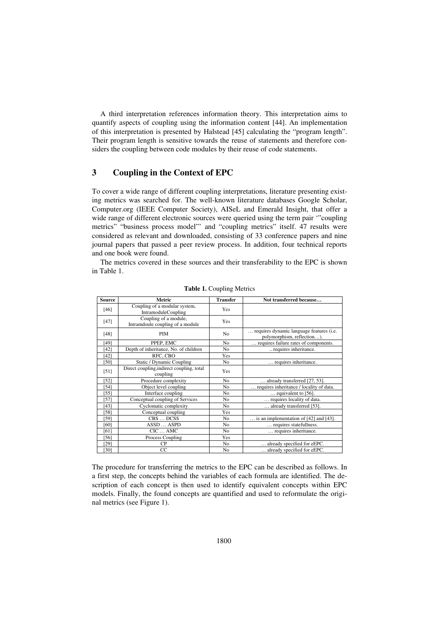A third interpretation references information theory. This interpretation aims to quantify aspects of coupling using the information content [44]. An implementation of this interpretation is presented by Halstead [45] calculating the "program length". Their program length is sensitive towards the reuse of statements and therefore considers the coupling between code modules by their reuse of code statements.

# **3 Coupling in the Context of EPC**

To cover a wide range of different coupling interpretations, literature presenting existing metrics was searched for. The well-known literature databases Google Scholar, Computer.org (IEEE Computer Society), AISeL and Emerald Insight, that offer a wide range of different electronic sources were queried using the term pair '"coupling metrics" "business process model"' and "coupling metrics" itself. 47 results were considered as relevant and downloaded, consisting of 33 conference papers and nine journal papers that passed a peer review process. In addition, four technical reports and one book were found.

The metrics covered in these sources and their transferability to the EPC is shown in Table 1.

| <b>Source</b> | <b>Metric</b>                                             | <b>Transfer</b> | Not transferred because                                                |
|---------------|-----------------------------------------------------------|-----------------|------------------------------------------------------------------------|
| [46]          | Coupling of a modular system,<br>IntramoduleCoupling      | Yes             |                                                                        |
| $[47]$        | Coupling of a module,<br>Intramdoule coupling of a module | Yes             |                                                                        |
| [48]          | <b>PIM</b>                                                | N <sub>0</sub>  | requires dynamic language features (i.e.<br>polymorphism, reflection). |
| [49]          | PPEP, EMC                                                 | N <sub>0</sub>  | requires failure rates of components.                                  |
| [42]          | Depth of inheritance, No. of children                     | N <sub>o</sub>  | requires inheritance.                                                  |
| $[42]$        | RFC, CBO                                                  | Yes             |                                                                        |
| [50]          | Static / Dynamic Coupling                                 | N <sub>o</sub>  | requires inheritance.                                                  |
| $[51]$        | Direct coupling, indirect coupling, total<br>coupling     | Yes             |                                                                        |
| [52]          | Procedure complexity                                      | No              | already transferred [27, 53].                                          |
| [54]          | Object level coupling                                     | N <sub>o</sub>  | requires inheritance / locality of data.                               |
| $[55]$        | Interface coupling                                        | No              | $\ldots$ equivalent to [56].                                           |
| [57]          | Conceptual coupling of Services                           | No              | requires locality of data.                                             |
| [43]          | Cyclomatic complexity                                     | N <sub>o</sub>  | already transferred [53].                                              |
| [58]          | Conceptual coupling                                       | Yes             |                                                                        |
| [59]          | CBS  DCSS                                                 | N <sub>o</sub>  | $\ldots$ is an implementation of [42] and [43].                        |
| [60]          | ASSD  ASPD                                                | N <sub>o</sub>  | requires statefullness.                                                |
| [61]          | $CIC$ AMC                                                 | N <sub>o</sub>  | requires inheritance.                                                  |
| $[56]$        | Process Coupling                                          | Yes             |                                                                        |
| $[29]$        | CP                                                        | N <sub>o</sub>  | already specified for eEPC.                                            |
| $[30]$        | CC                                                        | N <sub>o</sub>  | already specified for eEPC.                                            |

**Table 1.** Coupling Metrics

The procedure for transferring the metrics to the EPC can be described as follows. In a first step, the concepts behind the variables of each formula are identified. The description of each concept is then used to identify equivalent concepts within EPC models. Finally, the found concepts are quantified and used to reformulate the original metrics (see Figure 1).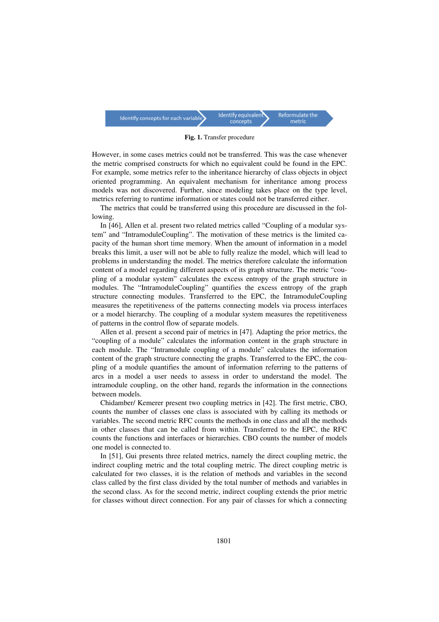

**Fig. 1.** Transfer procedure

However, in some cases metrics could not be transferred. This was the case whenever the metric comprised constructs for which no equivalent could be found in the EPC. For example, some metrics refer to the inheritance hierarchy of class objects in object oriented programming. An equivalent mechanism for inheritance among process models was not discovered. Further, since modeling takes place on the type level, metrics referring to runtime information or states could not be transferred either.

The metrics that could be transferred using this procedure are discussed in the following.

In [46], Allen et al. present two related metrics called "Coupling of a modular system" and "IntramoduleCoupling". The motivation of these metrics is the limited capacity of the human short time memory. When the amount of information in a model breaks this limit, a user will not be able to fully realize the model, which will lead to problems in understanding the model. The metrics therefore calculate the information content of a model regarding different aspects of its graph structure. The metric "coupling of a modular system" calculates the excess entropy of the graph structure in modules. The "IntramoduleCoupling" quantifies the excess entropy of the graph structure connecting modules. Transferred to the EPC, the IntramoduleCoupling measures the repetitiveness of the patterns connecting models via process interfaces or a model hierarchy. The coupling of a modular system measures the repetitiveness of patterns in the control flow of separate models.

Allen et al. present a second pair of metrics in [47]. Adapting the prior metrics, the "coupling of a module" calculates the information content in the graph structure in each module. The "Intramodule coupling of a module" calculates the information content of the graph structure connecting the graphs. Transferred to the EPC, the coupling of a module quantifies the amount of information referring to the patterns of arcs in a model a user needs to assess in order to understand the model. The intramodule coupling, on the other hand, regards the information in the connections between models.

Chidamber/ Kemerer present two coupling metrics in [42]. The first metric, CBO, counts the number of classes one class is associated with by calling its methods or variables. The second metric RFC counts the methods in one class and all the methods in other classes that can be called from within. Transferred to the EPC, the RFC counts the functions and interfaces or hierarchies. CBO counts the number of models one model is connected to.

In [51], Gui presents three related metrics, namely the direct coupling metric, the indirect coupling metric and the total coupling metric. The direct coupling metric is calculated for two classes, it is the relation of methods and variables in the second class called by the first class divided by the total number of methods and variables in the second class. As for the second metric, indirect coupling extends the prior metric for classes without direct connection. For any pair of classes for which a connecting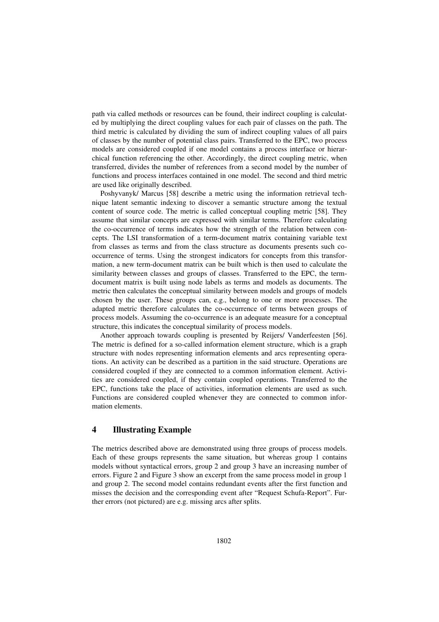path via called methods or resources can be found, their indirect coupling is calculated by multiplying the direct coupling values for each pair of classes on the path. The third metric is calculated by dividing the sum of indirect coupling values of all pairs of classes by the number of potential class pairs. Transferred to the EPC, two process models are considered coupled if one model contains a process interface or hierarchical function referencing the other. Accordingly, the direct coupling metric, when transferred, divides the number of references from a second model by the number of functions and process interfaces contained in one model. The second and third metric are used like originally described.

Poshyvanyk/ Marcus [58] describe a metric using the information retrieval technique latent semantic indexing to discover a semantic structure among the textual content of source code. The metric is called conceptual coupling metric [58]. They assume that similar concepts are expressed with similar terms. Therefore calculating the co-occurrence of terms indicates how the strength of the relation between concepts. The LSI transformation of a term-document matrix containing variable text from classes as terms and from the class structure as documents presents such cooccurrence of terms. Using the strongest indicators for concepts from this transformation, a new term-document matrix can be built which is then used to calculate the similarity between classes and groups of classes. Transferred to the EPC, the termdocument matrix is built using node labels as terms and models as documents. The metric then calculates the conceptual similarity between models and groups of models chosen by the user. These groups can, e.g., belong to one or more processes. The adapted metric therefore calculates the co-occurrence of terms between groups of process models. Assuming the co-occurrence is an adequate measure for a conceptual structure, this indicates the conceptual similarity of process models.

Another approach towards coupling is presented by Reijers/ Vanderfeesten [56]. The metric is defined for a so-called information element structure, which is a graph structure with nodes representing information elements and arcs representing operations. An activity can be described as a partition in the said structure. Operations are considered coupled if they are connected to a common information element. Activities are considered coupled, if they contain coupled operations. Transferred to the EPC, functions take the place of activities, information elements are used as such. Functions are considered coupled whenever they are connected to common information elements.

# **4 Illustrating Example**

The metrics described above are demonstrated using three groups of process models. Each of these groups represents the same situation, but whereas group 1 contains models without syntactical errors, group 2 and group 3 have an increasing number of errors. Figure 2 and Figure 3 show an excerpt from the same process model in group 1 and group 2. The second model contains redundant events after the first function and misses the decision and the corresponding event after "Request Schufa-Report". Further errors (not pictured) are e.g. missing arcs after splits.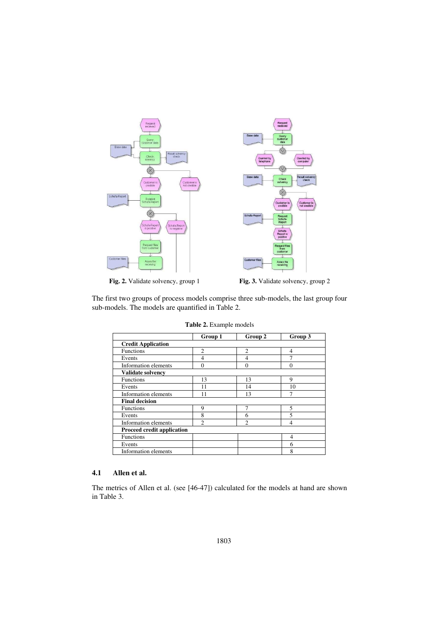

Fig. 2. Validate solvency, group 1 **Fig. 3.** Validate solvency, group 2

The first two groups of process models comprise three sub-models, the last group four sub-models. The models are quantified in Table 2.

|                                   | Group 1        | Group 2        | Group 3  |
|-----------------------------------|----------------|----------------|----------|
| <b>Credit Application</b>         |                |                |          |
| <b>Functions</b>                  | $\mathfrak{D}$ | $\overline{c}$ | 4        |
| Events                            | 4              | 4              | 7        |
| Information elements              | 0              | 0              | $\Omega$ |
| <b>Validate solvency</b>          |                |                |          |
| <b>Functions</b>                  | 13             | 13             | 9        |
| Events                            | 11             | 14             | 10       |
| Information elements              | 11             | 13             | 7        |
| <b>Final decision</b>             |                |                |          |
| <b>Functions</b>                  | 9              | 7              | 5        |
| Events                            | 8              | 6              | 5        |
| Information elements              | $\mathfrak{D}$ | $\mathfrak{D}$ | 4        |
| <b>Proceed credit application</b> |                |                |          |
| Functions                         |                |                | 4        |
| Events                            |                |                | 6        |
| <b>Information elements</b>       |                |                | 8        |

**Table 2.** Example models

# **4.1 Allen et al.**

The metrics of Allen et al. (see [46-47]) calculated for the models at hand are shown in Table 3.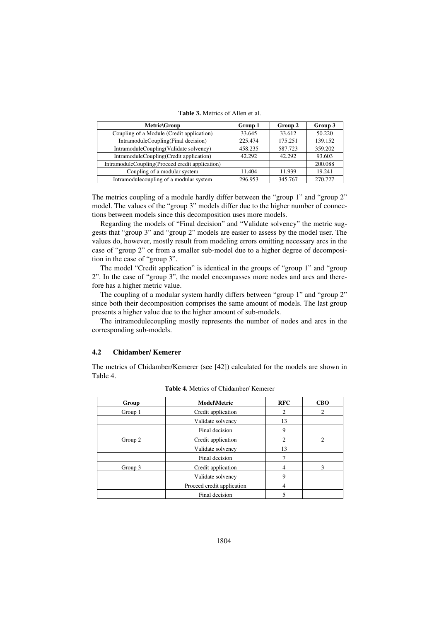**Table 3.** Metrics of Allen et al.

| Metric\Group                                    | Group 1 | Group 2 | Group 3 |
|-------------------------------------------------|---------|---------|---------|
| Coupling of a Module (Credit application)       | 33.645  | 33.612  | 50.220  |
| IntramoduleCoupling(Final decision)             | 225.474 | 175.251 | 139.152 |
| IntramoduleCoupling(Validate solvency)          | 458.235 | 587.723 | 359.202 |
| IntramoduleCoupling(Credit application)         | 42.292  | 42.292  | 93.603  |
| IntramoduleCoupling(Proceed credit application) |         |         | 200.088 |
| Coupling of a modular system                    | 11.404  | 11.939  | 19.241  |
| Intramodulecoupling of a modular system         | 296.953 | 345.767 | 270.727 |

The metrics coupling of a module hardly differ between the "group 1" and "group 2" model. The values of the "group 3" models differ due to the higher number of connections between models since this decomposition uses more models.

Regarding the models of "Final decision" and "Validate solvency" the metric suggests that "group 3" and "group 2" models are easier to assess by the model user. The values do, however, mostly result from modeling errors omitting necessary arcs in the case of "group 2" or from a smaller sub-model due to a higher degree of decomposition in the case of "group 3".

The model "Credit application" is identical in the groups of "group 1" and "group 2". In the case of "group 3", the model encompasses more nodes and arcs and therefore has a higher metric value.

The coupling of a modular system hardly differs between "group 1" and "group 2" since both their decomposition comprises the same amount of models. The last group presents a higher value due to the higher amount of sub-models.

The intramodulecoupling mostly represents the number of nodes and arcs in the corresponding sub-models.

# **4.2 Chidamber/ Kemerer**

The metrics of Chidamber/Kemerer (see [42]) calculated for the models are shown in Table 4.

| Group   | <b>Model\Metric</b>        | <b>RFC</b>                  | <b>CBO</b>  |
|---------|----------------------------|-----------------------------|-------------|
| Group 1 | Credit application         | 2                           |             |
|         | Validate solvency          | 13                          |             |
|         | Final decision             | 9                           |             |
| Group 2 | Credit application         | $\mathcal{D}_{\mathcal{L}}$ |             |
|         | Validate solvency          | 13                          |             |
|         | Final decision             |                             |             |
| Group 3 | Credit application         | 4                           | $\mathbf 3$ |
|         | Validate solvency          | 9                           |             |
|         | Proceed credit application | 4                           |             |
|         | Final decision             |                             |             |

| <b>Table 4.</b> Metrics of Chidamber/ Kemerer |  |  |  |
|-----------------------------------------------|--|--|--|
|-----------------------------------------------|--|--|--|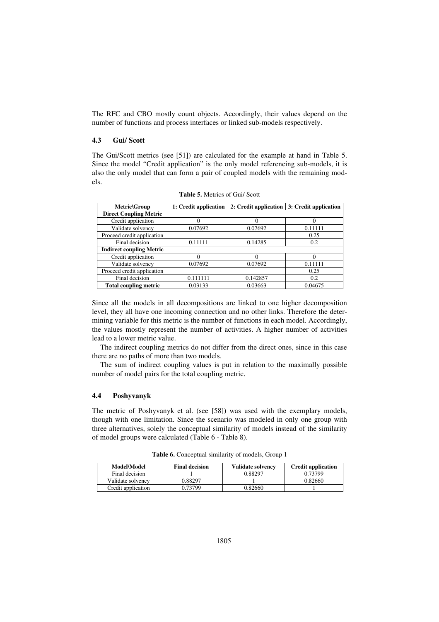The RFC and CBO mostly count objects. Accordingly, their values depend on the number of functions and process interfaces or linked sub-models respectively.

# **4.3 Gui/ Scott**

The Gui/Scott metrics (see [51]) are calculated for the example at hand in Table 5. Since the model "Credit application" is the only model referencing sub-models, it is also the only model that can form a pair of coupled models with the remaining models.

| Metric\Group                    | 1: Credit application | 2: Credit application | 3: Credit application |
|---------------------------------|-----------------------|-----------------------|-----------------------|
| <b>Direct Coupling Metric</b>   |                       |                       |                       |
| Credit application              |                       |                       |                       |
| Validate solvency               | 0.07692               | 0.07692               | 0.11111               |
| Proceed credit application      |                       |                       | 0.25                  |
| Final decision                  | 0.11111               | 0.14285               | 0.2                   |
| <b>Indirect coupling Metric</b> |                       |                       |                       |
| Credit application              |                       | $\theta$              |                       |
| Validate solvency               | 0.07692               | 0.07692               | 0.11111               |
| Proceed credit application      |                       |                       | 0.25                  |
| Final decision                  | 0.111111              | 0.142857              | 0.2                   |
| <b>Total coupling metric</b>    | 0.03133               | 0.03663               | 0.04675               |

**Table 5.** Metrics of Gui/ Scott

Since all the models in all decompositions are linked to one higher decomposition level, they all have one incoming connection and no other links. Therefore the determining variable for this metric is the number of functions in each model. Accordingly, the values mostly represent the number of activities. A higher number of activities lead to a lower metric value.

The indirect coupling metrics do not differ from the direct ones, since in this case there are no paths of more than two models.

The sum of indirect coupling values is put in relation to the maximally possible number of model pairs for the total coupling metric.

#### **4.4 Poshyvanyk**

The metric of Poshyvanyk et al. (see [58]) was used with the exemplary models, though with one limitation. Since the scenario was modeled in only one group with three alternatives, solely the conceptual similarity of models instead of the similarity of model groups were calculated (Table 6 - Table 8).

| <b>Model\Model</b> | <b>Final decision</b> | <b>Validate solvency</b> | <b>Credit application</b> |
|--------------------|-----------------------|--------------------------|---------------------------|
| Final decision     |                       | 0.88297                  | 0.73799                   |
| Validate solvency  | 0.88297               |                          | 0.82660                   |
| Credit application | 0.73799               | 0.82660                  |                           |

**Table 6.** Conceptual similarity of models, Group 1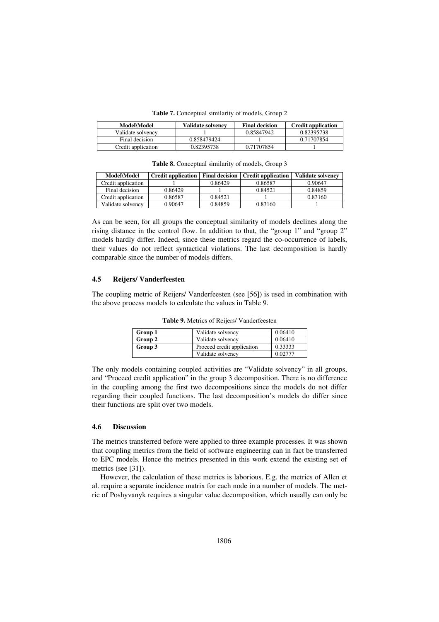**Table 7.** Conceptual similarity of models, Group 2

| Model\Model        | Validate solvency | <b>Final decision</b> | <b>Credit application</b> |
|--------------------|-------------------|-----------------------|---------------------------|
| Validate solvency  |                   | 0.85847942            | 0.82395738                |
| Final decision     | 0.858479424       |                       | 0.71707854                |
| Credit application | 0.82395738        | 0.71707854            |                           |

**Table 8.** Conceptual similarity of models, Group 3

| <b>Model\Model</b> | <b>Credit application</b> | <b>Final decision</b> | <b>Credit application</b> | <b>Validate solvency</b> |
|--------------------|---------------------------|-----------------------|---------------------------|--------------------------|
| Credit application |                           | 0.86429               | 0.86587                   | 0.90647                  |
| Final decision     | 0.86429                   |                       | 0.84521                   | 0.84859                  |
| Credit application | 0.86587                   | 0.84521               |                           | 0.83160                  |
| Validate solvency  | 0.90647                   | 0.84859               | 0.83160                   |                          |

As can be seen, for all groups the conceptual similarity of models declines along the rising distance in the control flow. In addition to that, the "group 1" and "group 2" models hardly differ. Indeed, since these metrics regard the co-occurrence of labels, their values do not reflect syntactical violations. The last decomposition is hardly comparable since the number of models differs.

### **4.5 Reijers/ Vanderfeesten**

The coupling metric of Reijers/ Vanderfeesten (see [56]) is used in combination with the above process models to calculate the values in Table 9.

| Group 1 | Validate solvency          | 0.06410 |
|---------|----------------------------|---------|
| Group 2 | Validate solvency          | 0.06410 |
| Group 3 | Proceed credit application | 0.33333 |
|         | Validate solvency          | 0.02777 |

**Table 9.** Metrics of Reijers/ Vanderfeesten

The only models containing coupled activities are "Validate solvency" in all groups, and "Proceed credit application" in the group 3 decomposition. There is no difference in the coupling among the first two decompositions since the models do not differ regarding their coupled functions. The last decomposition's models do differ since their functions are split over two models.

#### **4.6 Discussion**

The metrics transferred before were applied to three example processes. It was shown that coupling metrics from the field of software engineering can in fact be transferred to EPC models. Hence the metrics presented in this work extend the existing set of metrics (see [31]).

However, the calculation of these metrics is laborious. E.g. the metrics of Allen et al. require a separate incidence matrix for each node in a number of models. The metric of Poshyvanyk requires a singular value decomposition, which usually can only be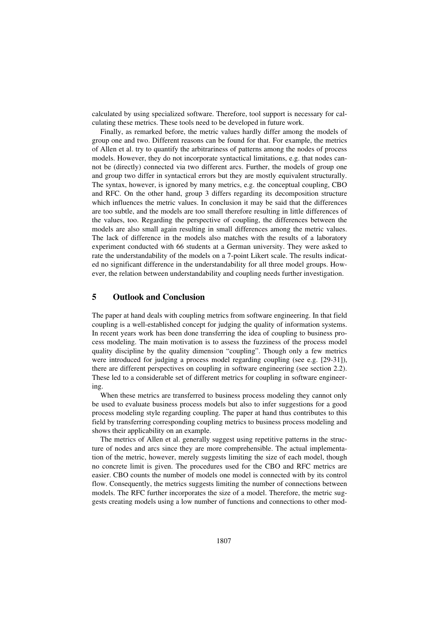calculated by using specialized software. Therefore, tool support is necessary for calculating these metrics. These tools need to be developed in future work.

Finally, as remarked before, the metric values hardly differ among the models of group one and two. Different reasons can be found for that. For example, the metrics of Allen et al. try to quantify the arbitrariness of patterns among the nodes of process models. However, they do not incorporate syntactical limitations, e.g. that nodes cannot be (directly) connected via two different arcs. Further, the models of group one and group two differ in syntactical errors but they are mostly equivalent structurally. The syntax, however, is ignored by many metrics, e.g. the conceptual coupling, CBO and RFC. On the other hand, group 3 differs regarding its decomposition structure which influences the metric values. In conclusion it may be said that the differences are too subtle, and the models are too small therefore resulting in little differences of the values, too. Regarding the perspective of coupling, the differences between the models are also small again resulting in small differences among the metric values. The lack of difference in the models also matches with the results of a laboratory experiment conducted with 66 students at a German university. They were asked to rate the understandability of the models on a 7-point Likert scale. The results indicated no significant difference in the understandability for all three model groups. However, the relation between understandability and coupling needs further investigation.

# **5 Outlook and Conclusion**

The paper at hand deals with coupling metrics from software engineering. In that field coupling is a well-established concept for judging the quality of information systems. In recent years work has been done transferring the idea of coupling to business process modeling. The main motivation is to assess the fuzziness of the process model quality discipline by the quality dimension "coupling". Though only a few metrics were introduced for judging a process model regarding coupling (see e.g. [29-31]), there are different perspectives on coupling in software engineering (see section 2.2). These led to a considerable set of different metrics for coupling in software engineering.

When these metrics are transferred to business process modeling they cannot only be used to evaluate business process models but also to infer suggestions for a good process modeling style regarding coupling. The paper at hand thus contributes to this field by transferring corresponding coupling metrics to business process modeling and shows their applicability on an example.

The metrics of Allen et al. generally suggest using repetitive patterns in the structure of nodes and arcs since they are more comprehensible. The actual implementation of the metric, however, merely suggests limiting the size of each model, though no concrete limit is given. The procedures used for the CBO and RFC metrics are easier. CBO counts the number of models one model is connected with by its control flow. Consequently, the metrics suggests limiting the number of connections between models. The RFC further incorporates the size of a model. Therefore, the metric suggests creating models using a low number of functions and connections to other mod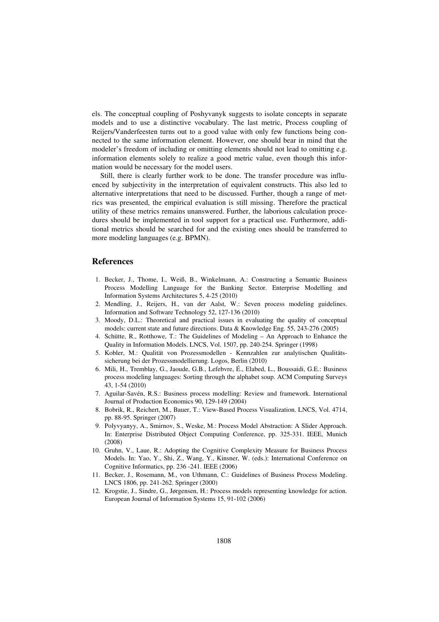els. The conceptual coupling of Poshyvanyk suggests to isolate concepts in separate models and to use a distinctive vocabulary. The last metric, Process coupling of Reijers/Vanderfeesten turns out to a good value with only few functions being connected to the same information element. However, one should bear in mind that the modeler's freedom of including or omitting elements should not lead to omitting e.g. information elements solely to realize a good metric value, even though this information would be necessary for the model users.

Still, there is clearly further work to be done. The transfer procedure was influenced by subjectivity in the interpretation of equivalent constructs. This also led to alternative interpretations that need to be discussed. Further, though a range of metrics was presented, the empirical evaluation is still missing. Therefore the practical utility of these metrics remains unanswered. Further, the laborious calculation procedures should be implemented in tool support for a practical use. Furthermore, additional metrics should be searched for and the existing ones should be transferred to more modeling languages (e.g. BPMN).

# **References**

- 1. Becker, J., Thome, I., Weiß, B., Winkelmann, A.: Constructing a Semantic Business Process Modelling Language for the Banking Sector. Enterprise Modelling and Information Systems Architectures 5, 4-25 (2010)
- 2. Mendling, J., Reijers, H., van der Aalst, W.: Seven process modeling guidelines. Information and Software Technology 52, 127-136 (2010)
- 3. Moody, D.L.: Theoretical and practical issues in evaluating the quality of conceptual models: current state and future directions. Data & Knowledge Eng. 55, 243-276 (2005)
- 4. Schütte, R., Rotthowe, T.: The Guidelines of Modeling An Approach to Enhance the Quality in Information Models. LNCS, Vol. 1507, pp. 240-254. Springer (1998)
- 5. Kobler, M.: Qualität von Prozessmodellen Kennzahlen zur analytischen Qualitätssicherung bei der Prozessmodellierung. Logos, Berlin (2010)
- 6. Mili, H., Tremblay, G., Jaoude, G.B., Lefebvre, É., Elabed, L., Boussaidi, G.E.: Business process modeling languages: Sorting through the alphabet soup. ACM Computing Surveys 43, 1-54 (2010)
- 7. Aguilar-Savén, R.S.: Business process modelling: Review and framework. International Journal of Production Economics 90, 129-149 (2004)
- 8. Bobrik, R., Reichert, M., Bauer, T.: View-Based Process Visualization. LNCS, Vol. 4714, pp. 88-95. Springer (2007)
- 9. Polyvyanyy, A., Smirnov, S., Weske, M.: Process Model Abstraction: A Slider Approach. In: Enterprise Distributed Object Computing Conference, pp. 325-331. IEEE, Munich (2008)
- 10. Gruhn, V., Laue, R.: Adopting the Cognitive Complexity Measure for Business Process Models. In: Yao, Y., Shi, Z., Wang, Y., Kinsner, W. (eds.): International Conference on Cognitive Informatics, pp. 236 -241. IEEE (2006)
- 11. Becker, J., Rosemann, M., von Uthmann, C.: Guidelines of Business Process Modeling. LNCS 1806, pp. 241-262. Springer (2000)
- 12. Krogstie, J., Sindre, G., Jørgensen, H.: Process models representing knowledge for action. European Journal of Information Systems 15, 91-102 (2006)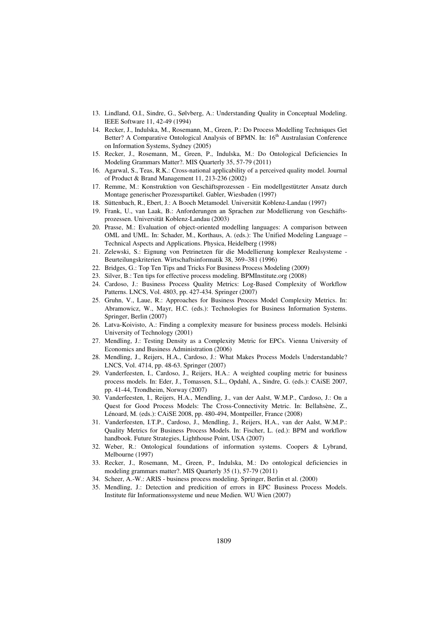- 13. Lindland, O.I., Sindre, G., Sølvberg, A.: Understanding Quality in Conceptual Modeling. IEEE Software 11, 42-49 (1994)
- 14. Recker, J., Indulska, M., Rosemann, M., Green, P.: Do Process Modelling Techniques Get Better? A Comparative Ontological Analysis of BPMN. In: 16<sup>th</sup> Australasian Conference on Information Systems, Sydney (2005)
- 15. Recker, J., Rosemann, M., Green, P., Indulska, M.: Do Ontological Deficiencies In Modeling Grammars Matter?. MIS Quarterly 35, 57-79 (2011)
- 16. Agarwal, S., Teas, R.K.: Cross-national applicability of a perceived quality model. Journal of Product & Brand Management 11, 213-236 (2002)
- 17. Remme, M.: Konstruktion von Geschäftsprozessen Ein modellgestützter Ansatz durch Montage generischer Prozesspartikel. Gabler, Wiesbaden (1997)
- 18. Süttenbach, R., Ebert, J.: A Booch Metamodel. Universität Koblenz-Landau (1997)
- 19. Frank, U., van Laak, B.: Anforderungen an Sprachen zur Modellierung von Geschäftsprozessen. Universität Koblenz-Landau (2003)
- 20. Prasse, M.: Evaluation of object-oriented modelling languages: A comparison between OML and UML. In: Schader, M., Korthaus, A. (eds.): The Unified Modeling Language – Technical Aspects and Applications. Physica, Heidelberg (1998)
- 21. Zelewski, S.: Eignung von Petrinetzen für die Modellierung komplexer Realsysteme Beurteilungskriterien. Wirtschaftsinformatik 38, 369–381 (1996)
- 22. Bridges, G.: Top Ten Tips and Tricks For Business Process Modeling (2009)
- 23. Silver, B.: Ten tips for effective process modeling. BPMInstitute.org (2008)
- 24. Cardoso, J.: Business Process Quality Metrics: Log-Based Complexity of Workflow Patterns. LNCS, Vol. 4803, pp. 427-434. Springer (2007)
- 25. Gruhn, V., Laue, R.: Approaches for Business Process Model Complexity Metrics. In: Abramowicz, W., Mayr, H.C. (eds.): Technologies for Business Information Systems. Springer, Berlin (2007)
- 26. Latva-Koivisto, A.: Finding a complexity measure for business process models. Helsinki University of Technology (2001)
- 27. Mendling, J.: Testing Density as a Complexity Metric for EPCs. Vienna University of Economics and Business Administration (2006)
- 28. Mendling, J., Reijers, H.A., Cardoso, J.: What Makes Process Models Understandable? LNCS, Vol. 4714, pp. 48-63. Springer (2007)
- 29. Vanderfeesten, I., Cardoso, J., Reijers, H.A.: A weighted coupling metric for business process models. In: Eder, J., Tomassen, S.L., Opdahl, A., Sindre, G. (eds.): CAiSE 2007, pp. 41-44, Trondheim, Norway (2007)
- 30. Vanderfeesten, I., Reijers, H.A., Mendling, J., van der Aalst, W.M.P., Cardoso, J.: On a Quest for Good Process Models: The Cross-Connectivity Metric. In: Bellahsène, Z., Lénoard, M. (eds.): CAiSE 2008, pp. 480-494, Montpeiller, France (2008)
- 31. Vanderfeesten, I.T.P., Cardoso, J., Mendling, J., Reijers, H.A., van der Aalst, W.M.P.: Quality Metrics for Business Process Models. In: Fischer, L. (ed.): BPM and workflow handbook. Future Strategies, Lighthouse Point, USA (2007)
- 32. Weber, R.: Ontological foundations of information systems. Coopers & Lybrand, Melbourne (1997)
- 33. Recker, J., Rosemann, M., Green, P., Indulska, M.: Do ontological deficiencies in modeling grammars matter?. MIS Quarterly 35 (1), 57-79 (2011)
- 34. Scheer, A.-W.: ARIS business process modeling. Springer, Berlin et al. (2000)
- 35. Mendling, J.: Detection and predicition of errors in EPC Business Process Models. Institute für Informationssysteme und neue Medien. WU Wien (2007)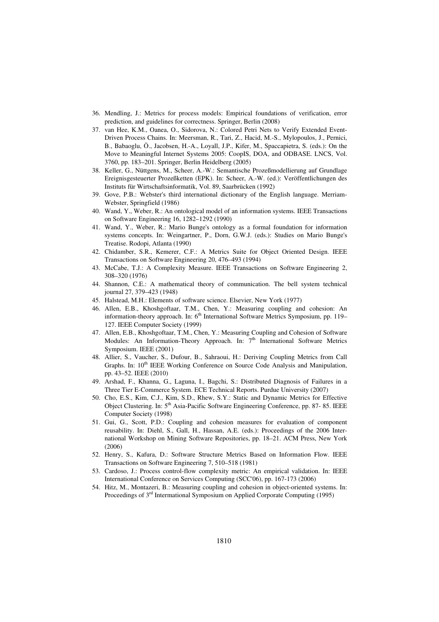- 36. Mendling, J.: Metrics for process models: Empirical foundations of verification, error prediction, and guidelines for correctness. Springer, Berlin (2008)
- 37. van Hee, K.M., Oanea, O., Sidorova, N.: Colored Petri Nets to Verify Extended Event-Driven Process Chains. In: Meersman, R., Tari, Z., Hacid, M.-S., Mylopoulos, J., Pernici, B., Babaoglu, Ö., Jacobsen, H.-A., Loyall, J.P., Kifer, M., Spaccapietra, S. (eds.): On the Move to Meaningful Internet Systems 2005: CoopIS, DOA, and ODBASE. LNCS, Vol. 3760, pp. 183–201. Springer, Berlin Heidelberg (2005)
- 38. Keller, G., Nüttgens, M., Scheer, A.-W.: Semantische Prozeßmodellierung auf Grundlage Ereignisgesteuerter Prozeßketten (EPK). In: Scheer, A.-W. (ed.): Veröffentlichungen des Instituts für Wirtschaftsinformatik, Vol. 89, Saarbrücken (1992)
- 39. Gove, P.B.: Webster's third international dictionary of the English language. Merriam-Webster, Springfield (1986)
- 40. Wand, Y., Weber, R.: An ontological model of an information systems. IEEE Transactions on Software Engineering 16, 1282–1292 (1990)
- 41. Wand, Y., Weber, R.: Mario Bunge's ontology as a formal foundation for information systems concepts. In: Weingartner, P., Dorn, G.W.J. (eds.): Studies on Mario Bunge's Treatise. Rodopi, Atlanta (1990)
- 42. Chidamber, S.R., Kemerer, C.F.: A Metrics Suite for Object Oriented Design. IEEE Transactions on Software Engineering 20, 476–493 (1994)
- 43. McCabe, T.J.: A Complexity Measure. IEEE Transactions on Software Engineering 2, 308–320 (1976)
- 44. Shannon, C.E.: A mathematical theory of communication. The bell system technical journal 27, 379–423 (1948)
- 45. Halstead, M.H.: Elements of software science. Elsevier, New York (1977)
- 46. Allen, E.B., Khoshgoftaar, T.M., Chen, Y.: Measuring coupling and cohesion: An information-theory approach. In: 6<sup>th</sup> International Software Metrics Symposium, pp. 119-127. IEEE Computer Society (1999)
- 47. Allen, E.B., Khoshgoftaar, T.M., Chen, Y.: Measuring Coupling and Cohesion of Software Modules: An Information-Theory Approach. In: 7<sup>th</sup> International Software Metrics Symposium. IEEE (2001)
- 48. Allier, S., Vaucher, S., Dufour, B., Sahraoui, H.: Deriving Coupling Metrics from Call Graphs. In: 10<sup>th</sup> IEEE Working Conference on Source Code Analysis and Manipulation, pp. 43–52. IEEE (2010)
- 49. Arshad, F., Khanna, G., Laguna, I., Bagchi, S.: Distributed Diagnosis of Failures in a Three Tier E-Commerce System. ECE Technical Reports. Purdue University (2007)
- 50. Cho, E.S., Kim, C.J., Kim, S.D., Rhew, S.Y.: Static and Dynamic Metrics for Effective Object Clustering. In: 5th Asia-Pacific Software Engineering Conference, pp. 87- 85. IEEE Computer Society (1998)
- 51. Gui, G., Scott, P.D.: Coupling and cohesion measures for evaluation of component reusability. In: Diehl, S., Gall, H., Hassan, A.E. (eds.): Proceedings of the 2006 International Workshop on Mining Software Repositories, pp. 18–21. ACM Press, New York (2006)
- 52. Henry, S., Kafura, D.: Software Structure Metrics Based on Information Flow. IEEE Transactions on Software Engineering 7, 510–518 (1981)
- 53. Cardoso, J.: Process control-flow complexity metric: An empirical validation. In: IEEE International Conference on Services Computing (SCC'06), pp. 167-173 (2006)
- 54. Hitz, M., Montazeri, B.: Measuring coupling and cohesion in object-oriented systems. In: Proceedings of 3<sup>rd</sup> Intermational Symposium on Applied Corporate Computing (1995)